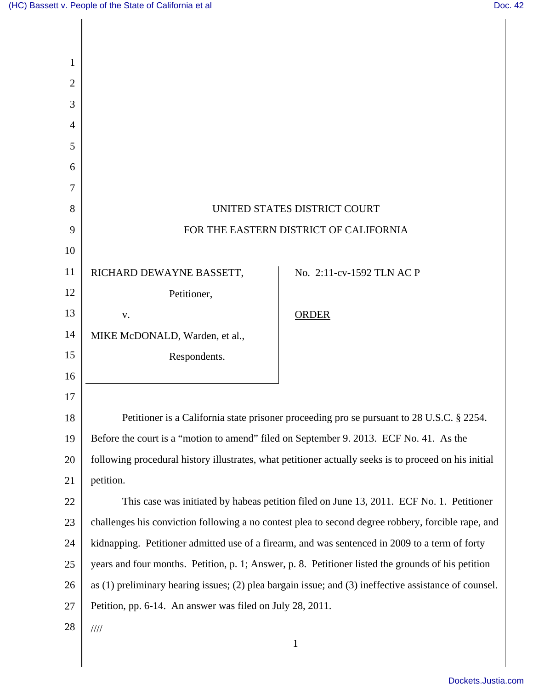Π

| $\mathbf{1}$   |                                                                                                             |                           |
|----------------|-------------------------------------------------------------------------------------------------------------|---------------------------|
| $\mathbf{2}$   |                                                                                                             |                           |
| 3              |                                                                                                             |                           |
| $\overline{4}$ |                                                                                                             |                           |
| 5              |                                                                                                             |                           |
| 6              |                                                                                                             |                           |
| 7              |                                                                                                             |                           |
| 8              | UNITED STATES DISTRICT COURT                                                                                |                           |
| 9              | FOR THE EASTERN DISTRICT OF CALIFORNIA                                                                      |                           |
| 10             |                                                                                                             |                           |
| 11             | RICHARD DEWAYNE BASSETT,                                                                                    | No. 2:11-cv-1592 TLN AC P |
| 12             | Petitioner,                                                                                                 |                           |
| 13             | V.                                                                                                          | <b>ORDER</b>              |
| 14             | MIKE McDONALD, Warden, et al.,                                                                              |                           |
| 15             | Respondents.                                                                                                |                           |
| 16             |                                                                                                             |                           |
| 17             |                                                                                                             |                           |
| 18             | Petitioner is a California state prisoner proceeding pro se pursuant to 28 U.S.C. § 2254.                   |                           |
| 19             | Before the court is a "motion to amend" filed on September 9. 2013. ECF No. 41. As the                      |                           |
| 20             | following procedural history illustrates, what petitioner actually seeks is to proceed on his initial       |                           |
| 21             | petition.                                                                                                   |                           |
| 22             | This case was initiated by habeas petition filed on June 13, 2011. ECF No. 1. Petitioner                    |                           |
| 23             | challenges his conviction following a no contest plea to second degree robbery, forcible rape, and          |                           |
| 24             | kidnapping. Petitioner admitted use of a firearm, and was sentenced in 2009 to a term of forty              |                           |
| 25             | years and four months. Petition, p. 1; Answer, p. 8. Petitioner listed the grounds of his petition          |                           |
| 26             | as $(1)$ preliminary hearing issues; $(2)$ plea bargain issue; and $(3)$ ineffective assistance of counsel. |                           |
| 27             | Petition, pp. 6-14. An answer was filed on July 28, 2011.                                                   |                           |
| 28             | $\frac{1}{1}$                                                                                               |                           |
|                |                                                                                                             | $\mathbf{1}$              |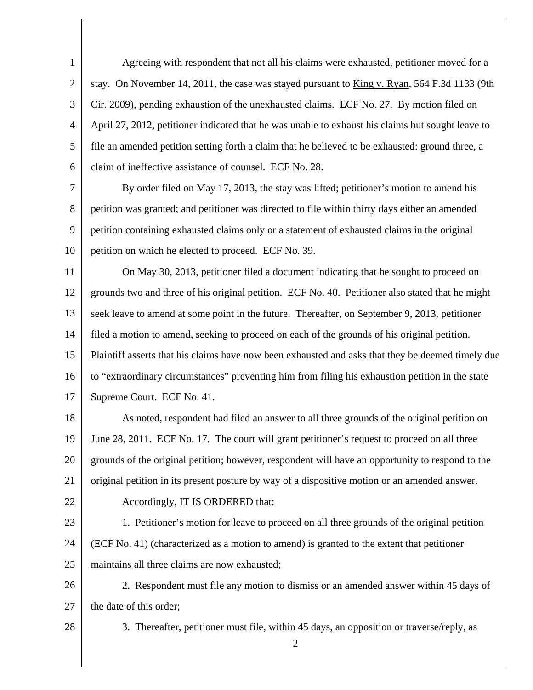1 2 3 4 5 6 Agreeing with respondent that not all his claims were exhausted, petitioner moved for a stay. On November 14, 2011, the case was stayed pursuant to King v. Ryan, 564 F.3d 1133 (9th Cir. 2009), pending exhaustion of the unexhausted claims. ECF No. 27. By motion filed on April 27, 2012, petitioner indicated that he was unable to exhaust his claims but sought leave to file an amended petition setting forth a claim that he believed to be exhausted: ground three, a claim of ineffective assistance of counsel. ECF No. 28.

7 8 9 10 By order filed on May 17, 2013, the stay was lifted; petitioner's motion to amend his petition was granted; and petitioner was directed to file within thirty days either an amended petition containing exhausted claims only or a statement of exhausted claims in the original petition on which he elected to proceed. ECF No. 39.

11 12 13 14 15 16 17 On May 30, 2013, petitioner filed a document indicating that he sought to proceed on grounds two and three of his original petition. ECF No. 40. Petitioner also stated that he might seek leave to amend at some point in the future. Thereafter, on September 9, 2013, petitioner filed a motion to amend, seeking to proceed on each of the grounds of his original petition. Plaintiff asserts that his claims have now been exhausted and asks that they be deemed timely due to "extraordinary circumstances" preventing him from filing his exhaustion petition in the state Supreme Court. ECF No. 41.

18 19 20 21 22 As noted, respondent had filed an answer to all three grounds of the original petition on June 28, 2011. ECF No. 17. The court will grant petitioner's request to proceed on all three grounds of the original petition; however, respondent will have an opportunity to respond to the original petition in its present posture by way of a dispositive motion or an amended answer.

Accordingly, IT IS ORDERED that:

- 23 24 25 1. Petitioner's motion for leave to proceed on all three grounds of the original petition (ECF No. 41) (characterized as a motion to amend) is granted to the extent that petitioner maintains all three claims are now exhausted;
- 26

 2. Respondent must file any motion to dismiss or an amended answer within 45 days of the date of this order;

28

27

3. Thereafter, petitioner must file, within 45 days, an opposition or traverse/reply, as